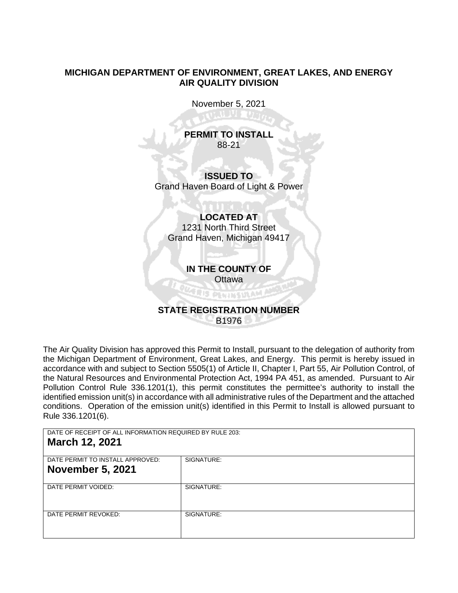# **MICHIGAN DEPARTMENT OF ENVIRONMENT, GREAT LAKES, AND ENERGY AIR QUALITY DIVISION**

November 5, 2021

own to a

**PERMIT TO INSTALL** 88-21

**ISSUED TO** Grand Haven Board of Light & Power

# **LOCATED AT** 1231 North Third Street Grand Haven, Michigan 49417

**IN THE COUNTY OF**

# Ottawa<br>Album Indonesia **STATE REGISTRATION NUMBER**

B1976

The Air Quality Division has approved this Permit to Install, pursuant to the delegation of authority from the Michigan Department of Environment, Great Lakes, and Energy. This permit is hereby issued in accordance with and subject to Section 5505(1) of Article II, Chapter I, Part 55, Air Pollution Control, of the Natural Resources and Environmental Protection Act, 1994 PA 451, as amended. Pursuant to Air Pollution Control Rule 336.1201(1), this permit constitutes the permittee's authority to install the identified emission unit(s) in accordance with all administrative rules of the Department and the attached conditions. Operation of the emission unit(s) identified in this Permit to Install is allowed pursuant to Rule 336.1201(6).

DATE OF RECEIPT OF ALL INFORMATION REQUIRED BY RULE 203:

# **March 12, 2021**

| SIGNATURE: |
|------------|
|            |
|            |
|            |
| SIGNATURE: |
|            |
|            |
|            |
| SIGNATURE: |
|            |
|            |
|            |
|            |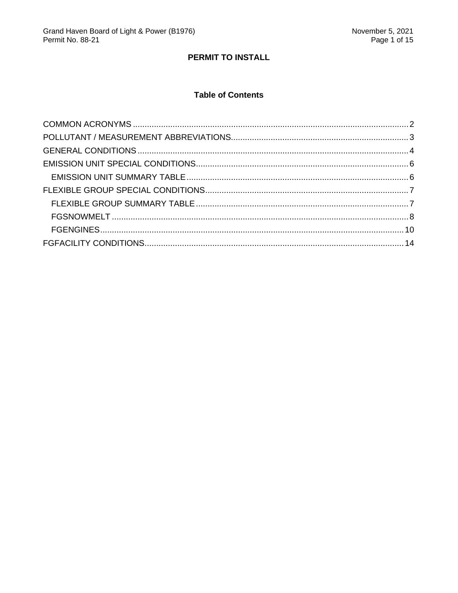# PERMIT TO INSTALL

# **Table of Contents**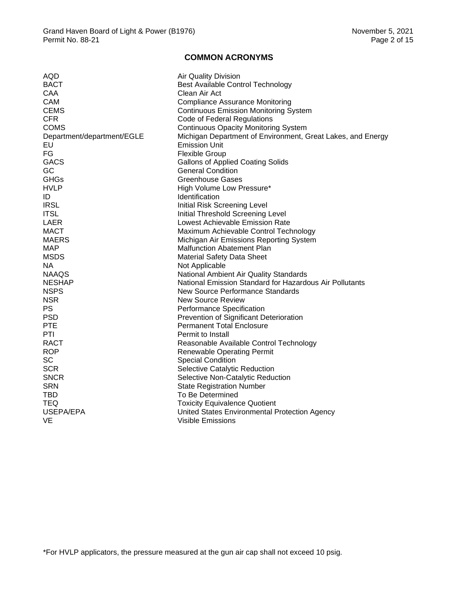#### **COMMON ACRONYMS**

<span id="page-2-0"></span>

| AQD                        | Air Quality Division                                        |
|----------------------------|-------------------------------------------------------------|
| <b>BACT</b>                | Best Available Control Technology                           |
| CAA                        | Clean Air Act                                               |
| <b>CAM</b>                 | <b>Compliance Assurance Monitoring</b>                      |
| <b>CEMS</b>                | <b>Continuous Emission Monitoring System</b>                |
| <b>CFR</b>                 | Code of Federal Regulations                                 |
| <b>COMS</b>                | <b>Continuous Opacity Monitoring System</b>                 |
| Department/department/EGLE | Michigan Department of Environment, Great Lakes, and Energy |
| EU                         | <b>Emission Unit</b>                                        |
| FG                         | <b>Flexible Group</b>                                       |
| <b>GACS</b>                | <b>Gallons of Applied Coating Solids</b>                    |
| GC                         | <b>General Condition</b>                                    |
| <b>GHGs</b>                | Greenhouse Gases                                            |
| <b>HVLP</b>                | High Volume Low Pressure*                                   |
| ID                         | Identification                                              |
| <b>IRSL</b>                | Initial Risk Screening Level                                |
| <b>ITSL</b>                | Initial Threshold Screening Level                           |
| LAER                       | Lowest Achievable Emission Rate                             |
| <b>MACT</b>                | Maximum Achievable Control Technology                       |
| <b>MAERS</b>               | Michigan Air Emissions Reporting System                     |
| <b>MAP</b>                 | Malfunction Abatement Plan                                  |
| <b>MSDS</b>                | <b>Material Safety Data Sheet</b>                           |
| NA.                        | Not Applicable                                              |
| <b>NAAQS</b>               | National Ambient Air Quality Standards                      |
| <b>NESHAP</b>              | National Emission Standard for Hazardous Air Pollutants     |
| <b>NSPS</b>                | New Source Performance Standards                            |
| <b>NSR</b>                 | New Source Review                                           |
| <b>PS</b>                  | Performance Specification                                   |
| <b>PSD</b>                 | Prevention of Significant Deterioration                     |
| <b>PTE</b>                 | <b>Permanent Total Enclosure</b>                            |
| PTI                        | Permit to Install                                           |
| <b>RACT</b>                | Reasonable Available Control Technology                     |
| <b>ROP</b>                 | <b>Renewable Operating Permit</b>                           |
| <b>SC</b>                  | <b>Special Condition</b>                                    |
| <b>SCR</b>                 | Selective Catalytic Reduction                               |
| <b>SNCR</b>                | Selective Non-Catalytic Reduction                           |
| <b>SRN</b>                 | <b>State Registration Number</b>                            |
| TBD.                       | To Be Determined                                            |
| <b>TEQ</b>                 | <b>Toxicity Equivalence Quotient</b>                        |
| USEPA/EPA                  | United States Environmental Protection Agency               |
| VE                         | Visible Emissions                                           |
|                            |                                                             |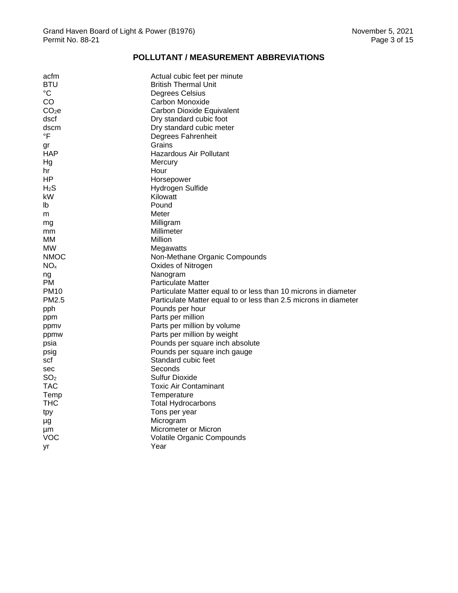# **POLLUTANT / MEASUREMENT ABBREVIATIONS**

<span id="page-3-0"></span>

| acfm              | Actual cubic feet per minute                                     |
|-------------------|------------------------------------------------------------------|
| BTU               | <b>British Thermal Unit</b>                                      |
| $^{\circ}C$       | Degrees Celsius                                                  |
| CO                | Carbon Monoxide                                                  |
| CO <sub>2</sub> e | Carbon Dioxide Equivalent                                        |
| dscf              | Dry standard cubic foot                                          |
| dscm              | Dry standard cubic meter                                         |
| $\overline{F}$    | Degrees Fahrenheit                                               |
| gr                | Grains                                                           |
| HAP               | Hazardous Air Pollutant                                          |
| Hg                | Mercury                                                          |
| hr                | Hour                                                             |
| HP.               | Horsepower                                                       |
| $H_2S$            | Hydrogen Sulfide                                                 |
| kW                | Kilowatt                                                         |
| lb                | Pound                                                            |
| m                 | Meter                                                            |
| mg                | Milligram                                                        |
| mm                | Millimeter                                                       |
| мм                | Million                                                          |
| MW                | Megawatts                                                        |
| <b>NMOC</b>       | Non-Methane Organic Compounds                                    |
| NO <sub>x</sub>   | Oxides of Nitrogen                                               |
| ng                | Nanogram                                                         |
| PM.               | <b>Particulate Matter</b>                                        |
| <b>PM10</b>       | Particulate Matter equal to or less than 10 microns in diameter  |
| PM2.5             | Particulate Matter equal to or less than 2.5 microns in diameter |
| pph               | Pounds per hour                                                  |
| ppm               | Parts per million                                                |
| ppmv              | Parts per million by volume                                      |
| ppmw              | Parts per million by weight                                      |
| psia              | Pounds per square inch absolute                                  |
| psig              | Pounds per square inch gauge                                     |
| scf               | Standard cubic feet                                              |
| sec               | Seconds                                                          |
| SO <sub>2</sub>   | Sulfur Dioxide                                                   |
| TAC               | Toxic Air Contaminant                                            |
| Temp              | Temperature                                                      |
| <b>THC</b>        | <b>Total Hydrocarbons</b>                                        |
| tpy               | Tons per year                                                    |
| μg                | Microgram                                                        |
| μm                | Micrometer or Micron                                             |
| VOC               | Volatile Organic Compounds                                       |
| уr                | Year                                                             |
|                   |                                                                  |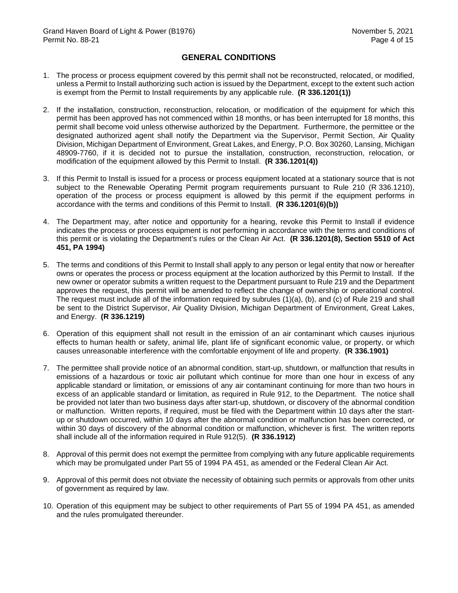#### **GENERAL CONDITIONS**

- <span id="page-4-0"></span>1. The process or process equipment covered by this permit shall not be reconstructed, relocated, or modified, unless a Permit to Install authorizing such action is issued by the Department, except to the extent such action is exempt from the Permit to Install requirements by any applicable rule. **(R 336.1201(1))**
- 2. If the installation, construction, reconstruction, relocation, or modification of the equipment for which this permit has been approved has not commenced within 18 months, or has been interrupted for 18 months, this permit shall become void unless otherwise authorized by the Department. Furthermore, the permittee or the designated authorized agent shall notify the Department via the Supervisor, Permit Section, Air Quality Division, Michigan Department of Environment, Great Lakes, and Energy, P.O. Box 30260, Lansing, Michigan 48909-7760, if it is decided not to pursue the installation, construction, reconstruction, relocation, or modification of the equipment allowed by this Permit to Install. **(R 336.1201(4))**
- 3. If this Permit to Install is issued for a process or process equipment located at a stationary source that is not subject to the Renewable Operating Permit program requirements pursuant to Rule 210 (R 336.1210), operation of the process or process equipment is allowed by this permit if the equipment performs in accordance with the terms and conditions of this Permit to Install. **(R 336.1201(6)(b))**
- 4. The Department may, after notice and opportunity for a hearing, revoke this Permit to Install if evidence indicates the process or process equipment is not performing in accordance with the terms and conditions of this permit or is violating the Department's rules or the Clean Air Act. **(R 336.1201(8), Section 5510 of Act 451, PA 1994)**
- 5. The terms and conditions of this Permit to Install shall apply to any person or legal entity that now or hereafter owns or operates the process or process equipment at the location authorized by this Permit to Install. If the new owner or operator submits a written request to the Department pursuant to Rule 219 and the Department approves the request, this permit will be amended to reflect the change of ownership or operational control. The request must include all of the information required by subrules (1)(a), (b), and (c) of Rule 219 and shall be sent to the District Supervisor, Air Quality Division, Michigan Department of Environment, Great Lakes, and Energy. **(R 336.1219)**
- 6. Operation of this equipment shall not result in the emission of an air contaminant which causes injurious effects to human health or safety, animal life, plant life of significant economic value, or property, or which causes unreasonable interference with the comfortable enjoyment of life and property. **(R 336.1901)**
- 7. The permittee shall provide notice of an abnormal condition, start-up, shutdown, or malfunction that results in emissions of a hazardous or toxic air pollutant which continue for more than one hour in excess of any applicable standard or limitation, or emissions of any air contaminant continuing for more than two hours in excess of an applicable standard or limitation, as required in Rule 912, to the Department. The notice shall be provided not later than two business days after start-up, shutdown, or discovery of the abnormal condition or malfunction. Written reports, if required, must be filed with the Department within 10 days after the startup or shutdown occurred, within 10 days after the abnormal condition or malfunction has been corrected, or within 30 days of discovery of the abnormal condition or malfunction, whichever is first. The written reports shall include all of the information required in Rule 912(5). **(R 336.1912)**
- 8. Approval of this permit does not exempt the permittee from complying with any future applicable requirements which may be promulgated under Part 55 of 1994 PA 451, as amended or the Federal Clean Air Act.
- 9. Approval of this permit does not obviate the necessity of obtaining such permits or approvals from other units of government as required by law.
- 10. Operation of this equipment may be subject to other requirements of Part 55 of 1994 PA 451, as amended and the rules promulgated thereunder.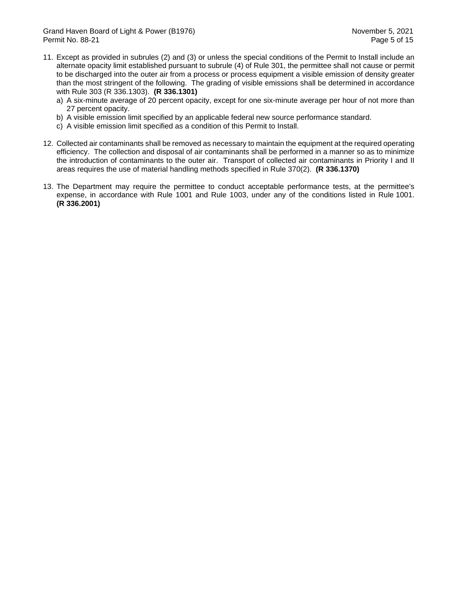- 11. Except as provided in subrules (2) and (3) or unless the special conditions of the Permit to Install include an alternate opacity limit established pursuant to subrule (4) of Rule 301, the permittee shall not cause or permit to be discharged into the outer air from a process or process equipment a visible emission of density greater than the most stringent of the following. The grading of visible emissions shall be determined in accordance with Rule 303 (R 336.1303). **(R 336.1301)**
	- a) A six-minute average of 20 percent opacity, except for one six-minute average per hour of not more than 27 percent opacity.
	- b) A visible emission limit specified by an applicable federal new source performance standard.
	- c) A visible emission limit specified as a condition of this Permit to Install.
- 12. Collected air contaminants shall be removed as necessary to maintain the equipment at the required operating efficiency. The collection and disposal of air contaminants shall be performed in a manner so as to minimize the introduction of contaminants to the outer air. Transport of collected air contaminants in Priority I and II areas requires the use of material handling methods specified in Rule 370(2). **(R 336.1370)**
- 13. The Department may require the permittee to conduct acceptable performance tests, at the permittee's expense, in accordance with Rule 1001 and Rule 1003, under any of the conditions listed in Rule 1001. **(R 336.2001)**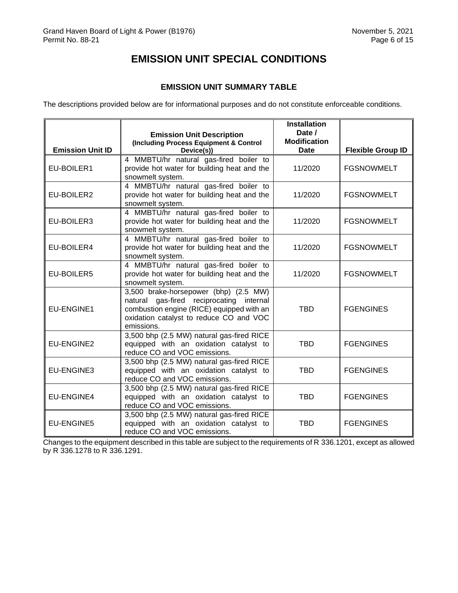# **EMISSION UNIT SPECIAL CONDITIONS**

# **EMISSION UNIT SUMMARY TABLE**

<span id="page-6-1"></span><span id="page-6-0"></span>The descriptions provided below are for informational purposes and do not constitute enforceable conditions.

|                         | <b>Emission Unit Description</b><br>(Including Process Equipment & Control                                                                                                              | <b>Installation</b><br>Date /<br><b>Modification</b> |                          |
|-------------------------|-----------------------------------------------------------------------------------------------------------------------------------------------------------------------------------------|------------------------------------------------------|--------------------------|
| <b>Emission Unit ID</b> | Device(s))                                                                                                                                                                              | <b>Date</b>                                          | <b>Flexible Group ID</b> |
| EU-BOILER1              | 4 MMBTU/hr natural gas-fired boiler to<br>provide hot water for building heat and the<br>snowmelt system.                                                                               | 11/2020                                              | <b>FGSNOWMELT</b>        |
| EU-BOILER2              | 4 MMBTU/hr natural gas-fired boiler to<br>provide hot water for building heat and the<br>snowmelt system.                                                                               | 11/2020                                              | <b>FGSNOWMELT</b>        |
| EU-BOILER3              | 4 MMBTU/hr natural gas-fired boiler to<br>provide hot water for building heat and the<br>snowmelt system.                                                                               | 11/2020                                              | <b>FGSNOWMELT</b>        |
| EU-BOILER4              | 4 MMBTU/hr natural gas-fired boiler to<br>provide hot water for building heat and the<br>snowmelt system.                                                                               | 11/2020                                              | <b>FGSNOWMELT</b>        |
| EU-BOILER5              | 4 MMBTU/hr natural gas-fired boiler to<br>provide hot water for building heat and the<br>snowmelt system.                                                                               | 11/2020                                              | <b>FGSNOWMELT</b>        |
| EU-ENGINE1              | 3,500 brake-horsepower (bhp) (2.5 MW)<br>natural gas-fired reciprocating internal<br>combustion engine (RICE) equipped with an<br>oxidation catalyst to reduce CO and VOC<br>emissions. | <b>TBD</b>                                           | <b>FGENGINES</b>         |
| <b>EU-ENGINE2</b>       | 3,500 bhp (2.5 MW) natural gas-fired RICE<br>equipped with an oxidation catalyst to<br>reduce CO and VOC emissions.                                                                     | <b>TBD</b>                                           | <b>FGENGINES</b>         |
| <b>EU-ENGINE3</b>       | 3,500 bhp (2.5 MW) natural gas-fired RICE<br>equipped with an oxidation catalyst to<br>reduce CO and VOC emissions.                                                                     | <b>TBD</b>                                           | <b>FGENGINES</b>         |
| <b>EU-ENGINE4</b>       | 3,500 bhp (2.5 MW) natural gas-fired RICE<br>equipped with an oxidation catalyst to<br>reduce CO and VOC emissions.                                                                     | <b>TBD</b>                                           | <b>FGENGINES</b>         |
| <b>EU-ENGINE5</b>       | 3,500 bhp (2.5 MW) natural gas-fired RICE<br>equipped with an oxidation catalyst to<br>reduce CO and VOC emissions.                                                                     | <b>TBD</b>                                           | <b>FGENGINES</b>         |

Changes to the equipment described in this table are subject to the requirements of R 336.1201, except as allowed by R 336.1278 to R 336.1291.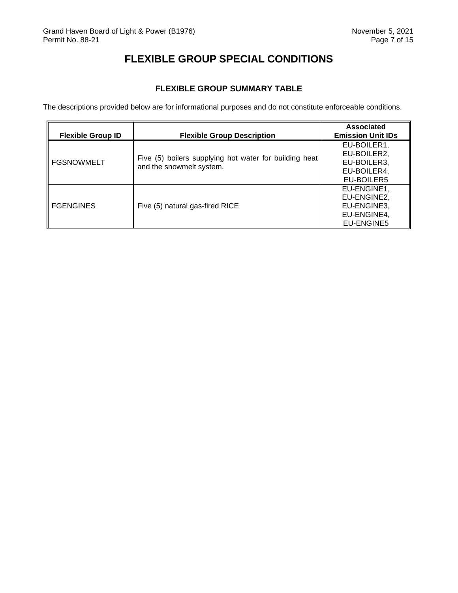# **FLEXIBLE GROUP SPECIAL CONDITIONS**

# **FLEXIBLE GROUP SUMMARY TABLE**

<span id="page-7-1"></span><span id="page-7-0"></span>The descriptions provided below are for informational purposes and do not constitute enforceable conditions.

| <b>Flexible Group ID</b> | <b>Flexible Group Description</b>                                                  | <b>Associated</b><br><b>Emission Unit IDs</b> |
|--------------------------|------------------------------------------------------------------------------------|-----------------------------------------------|
|                          | Five (5) boilers supplying hot water for building heat<br>and the snowmelt system. | EU-BOILER1,                                   |
|                          |                                                                                    | EU-BOILER2,                                   |
| <b>FGSNOWMELT</b>        |                                                                                    | EU-BOILER3,                                   |
|                          |                                                                                    | EU-BOILER4,                                   |
|                          |                                                                                    | EU-BOILER5                                    |
| <b>FGENGINES</b>         |                                                                                    | EU-ENGINE1,                                   |
|                          | Five (5) natural gas-fired RICE                                                    | EU-ENGINE2,                                   |
|                          |                                                                                    | EU-ENGINE3,                                   |
|                          |                                                                                    | EU-ENGINE4,                                   |
|                          |                                                                                    | EU-ENGINE5                                    |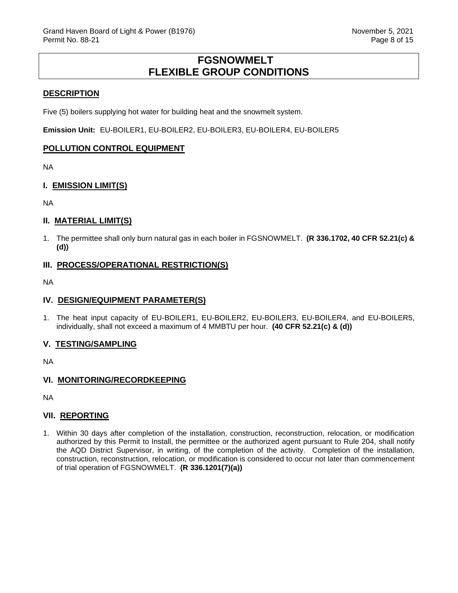# **FGSNOWMELT FLEXIBLE GROUP CONDITIONS**

#### <span id="page-8-0"></span>**DESCRIPTION**

Five (5) boilers supplying hot water for building heat and the snowmelt system.

**Emission Unit:** EU-BOILER1, EU-BOILER2, EU-BOILER3, EU-BOILER4, EU-BOILER5

#### **POLLUTION CONTROL EQUIPMENT**

NA

#### **I. EMISSION LIMIT(S)**

NA

## **II. MATERIAL LIMIT(S)**

1. The permittee shall only burn natural gas in each boiler in FGSNOWMELT. **(R 336.1702, 40 CFR 52.21(c) & (d))**

#### **III. PROCESS/OPERATIONAL RESTRICTION(S)**

NA

#### **IV. DESIGN/EQUIPMENT PARAMETER(S)**

1. The heat input capacity of EU-BOILER1, EU-BOILER2, EU-BOILER3, EU-BOILER4, and EU-BOILER5, individually, shall not exceed a maximum of 4 MMBTU per hour. **(40 CFR 52.21(c) & (d))**

#### **V. TESTING/SAMPLING**

NA

## **VI. MONITORING/RECORDKEEPING**

NA

#### **VII. REPORTING**

1. Within 30 days after completion of the installation, construction, reconstruction, relocation, or modification authorized by this Permit to Install, the permittee or the authorized agent pursuant to Rule 204, shall notify the AQD District Supervisor, in writing, of the completion of the activity. Completion of the installation, construction, reconstruction, relocation, or modification is considered to occur not later than commencement of trial operation of FGSNOWMELT. **(R 336.1201(7)(a))**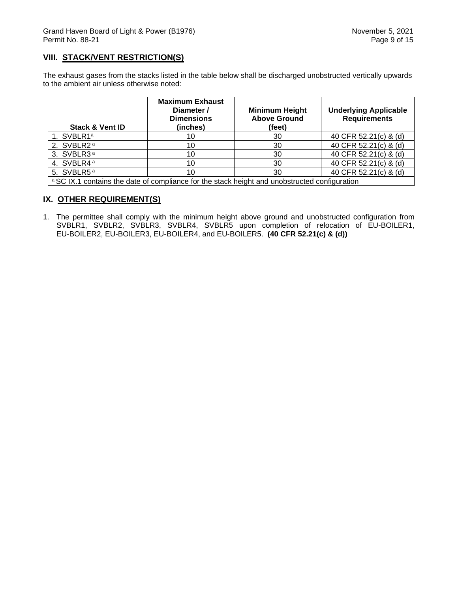## **VIII. STACK/VENT RESTRICTION(S)**

The exhaust gases from the stacks listed in the table below shall be discharged unobstructed vertically upwards to the ambient air unless otherwise noted:

| <b>Stack &amp; Vent ID</b>                                                                               | <b>Maximum Exhaust</b><br>Diameter /<br><b>Dimensions</b><br>(inches) | <b>Minimum Height</b><br><b>Above Ground</b><br>(feet) | <b>Underlying Applicable</b><br><b>Requirements</b> |  |
|----------------------------------------------------------------------------------------------------------|-----------------------------------------------------------------------|--------------------------------------------------------|-----------------------------------------------------|--|
| 1. SVBLR1 <sup>a</sup>                                                                                   | 10                                                                    | 30                                                     | 40 CFR 52.21(c) & (d)                               |  |
| 2. SVBLR2 <sup>a</sup>                                                                                   | 10                                                                    | 30                                                     | 40 CFR 52.21(c) & (d)                               |  |
| 3. SVBLR3 <sup>a</sup>                                                                                   | 10                                                                    | 30                                                     | 40 CFR 52.21(c) & (d)                               |  |
| 4. SVBLR4 <sup>a</sup>                                                                                   | 10                                                                    | 30                                                     | 40 CFR 52.21(c) & (d)                               |  |
| 5. SVBLR5 <sup>a</sup>                                                                                   | 10                                                                    | 30                                                     | 40 CFR 52.21(c) & (d)                               |  |
| <sup>a</sup> SC IX.1 contains the date of compliance for the stack height and unobstructed configuration |                                                                       |                                                        |                                                     |  |

# **IX. OTHER REQUIREMENT(S)**

1. The permittee shall comply with the minimum height above ground and unobstructed configuration from SVBLR1, SVBLR2, SVBLR3, SVBLR4, SVBLR5 upon completion of relocation of EU-BOILER1, EU-BOILER2, EU-BOILER3, EU-BOILER4, and EU-BOILER5. **(40 CFR 52.21(c) & (d))**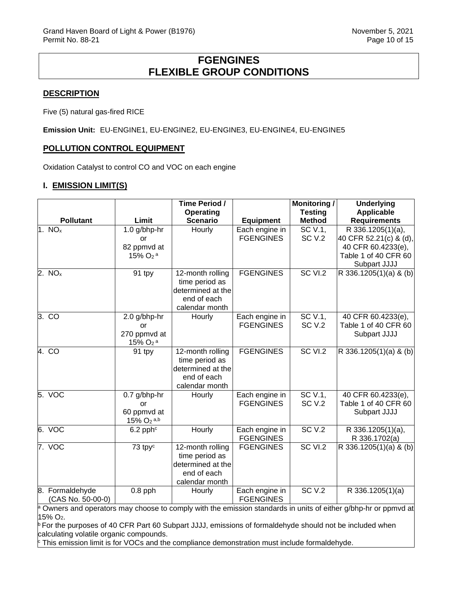# **FGENGINES FLEXIBLE GROUP CONDITIONS**

#### <span id="page-10-0"></span>**DESCRIPTION**

Five (5) natural gas-fired RICE

**Emission Unit:** EU-ENGINE1, EU-ENGINE2, EU-ENGINE3, EU-ENGINE4, EU-ENGINE5

#### **POLLUTION CONTROL EQUIPMENT**

Oxidation Catalyst to control CO and VOC on each engine

#### **I. EMISSION LIMIT(S)**

|                    |                                    | Time Period /       |                  | <b>Monitoring /</b> | <b>Underlying</b>      |
|--------------------|------------------------------------|---------------------|------------------|---------------------|------------------------|
|                    |                                    | Operating           |                  | <b>Testing</b>      | <b>Applicable</b>      |
| <b>Pollutant</b>   | Limit                              | <b>Scenario</b>     | <b>Equipment</b> | <b>Method</b>       | <b>Requirements</b>    |
| 1. NO <sub>x</sub> | 1.0 g/bhp-hr                       | Hourly              | Each engine in   | SC V.1,             | R 336.1205(1)(a),      |
|                    | or                                 |                     | <b>FGENGINES</b> | <b>SC V.2</b>       | 40 CFR 52.21(c) & (d), |
|                    | 82 ppmvd at                        |                     |                  |                     | 40 CFR 60.4233(e),     |
|                    | $15\%$ O <sub>2</sub> <sup>a</sup> |                     |                  |                     | Table 1 of 40 CFR 60   |
|                    |                                    |                     |                  |                     | Subpart JJJJ           |
| 2. $NOx$           | 91 tpy                             | $12$ -month rolling | <b>FGENGINES</b> | <b>SC VI.2</b>      | R 336.1205(1)(a) & (b) |
|                    |                                    | time period as      |                  |                     |                        |
|                    |                                    | determined at the   |                  |                     |                        |
|                    |                                    | end of each         |                  |                     |                        |
|                    |                                    | calendar month      |                  |                     |                        |
| 3. CO              | 2.0 g/bhp-hr                       | Hourly              | Each engine in   | SC V.1,             | 40 CFR 60.4233(e),     |
|                    | or                                 |                     | <b>FGENGINES</b> | <b>SC V.2</b>       | Table 1 of 40 CFR 60   |
|                    | 270 ppmvd at                       |                     |                  |                     | Subpart JJJJ           |
|                    | $15\%$ $O_2$ <sup>a</sup>          |                     |                  |                     |                        |
| 4. CO              | 91 tpy                             | 12-month rolling    | <b>FGENGINES</b> | SC VI.2             | R 336.1205(1)(a) & (b) |
|                    |                                    | time period as      |                  |                     |                        |
|                    |                                    | determined at the   |                  |                     |                        |
|                    |                                    | end of each         |                  |                     |                        |
|                    |                                    | calendar month      |                  |                     |                        |
| 5. VOC             | 0.7 g/bhp-hr                       | Hourly              | Each engine in   | SC V.1,             | 40 CFR 60.4233(e),     |
|                    | or                                 |                     | <b>FGENGINES</b> | <b>SC V.2</b>       | Table 1 of 40 CFR 60   |
|                    | 60 ppmvd at                        |                     |                  |                     | Subpart JJJJ           |
|                    | $15\%$ O <sub>2</sub> a,b          |                     |                  |                     |                        |
| 6. VOC             | $6.2$ pph $\textdegree$            | Hourly              | Each engine in   | <b>SC V.2</b>       | R 336.1205(1)(a),      |
|                    |                                    |                     | <b>FGENGINES</b> |                     | R 336.1702(a)          |
| 7. VOC             | 73 tpy <sup>c</sup>                | 12-month rolling    | <b>FGENGINES</b> | <b>SC VI.2</b>      | R 336.1205(1)(a) & (b) |
|                    |                                    | time period as      |                  |                     |                        |
|                    |                                    | determined at the   |                  |                     |                        |
|                    |                                    | end of each         |                  |                     |                        |
|                    |                                    | calendar month      |                  |                     |                        |
| 8. Formaldehyde    | $0.8$ pph                          | Hourly              | Each engine in   | <b>SC V.2</b>       | R 336.1205(1)(a)       |
| (CAS No. 50-00-0)  |                                    |                     | <b>FGENGINES</b> |                     |                        |

<sup>a</sup> Owners and operators may choose to comply with the emission standards in units of either g/bhp-hr or ppmvd at 15% O2.<br><sup>b</sup> For the purposes of 40 CFR Part 60 Subpart JJJJ, emissions of formaldehyde should not be included when

calculating volatile organic compounds.

 $\epsilon$  This emission limit is for VOCs and the compliance demonstration must include formaldehyde.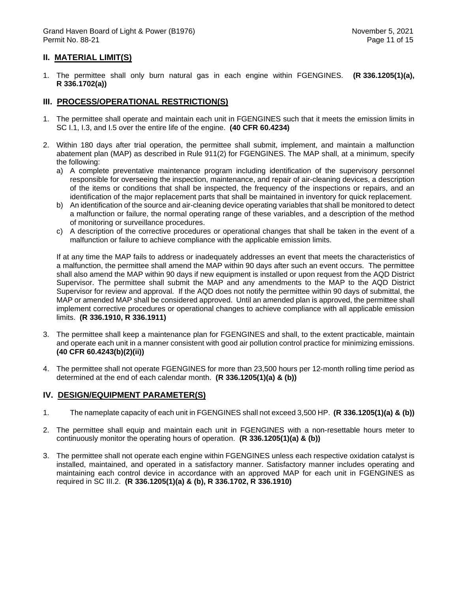#### **II. MATERIAL LIMIT(S)**

1. The permittee shall only burn natural gas in each engine within FGENGINES. **(R 336.1205(1)(a), R 336.1702(a))**

#### **III. PROCESS/OPERATIONAL RESTRICTION(S)**

- 1. The permittee shall operate and maintain each unit in FGENGINES such that it meets the emission limits in SC I.1, I.3, and I.5 over the entire life of the engine. **(40 CFR 60.4234)**
- 2. Within 180 days after trial operation, the permittee shall submit, implement, and maintain a malfunction abatement plan (MAP) as described in Rule 911(2) for FGENGINES. The MAP shall, at a minimum, specify the following:
	- a) A complete preventative maintenance program including identification of the supervisory personnel responsible for overseeing the inspection, maintenance, and repair of air-cleaning devices, a description of the items or conditions that shall be inspected, the frequency of the inspections or repairs, and an identification of the major replacement parts that shall be maintained in inventory for quick replacement.
	- b) An identification of the source and air-cleaning device operating variables that shall be monitored to detect a malfunction or failure, the normal operating range of these variables, and a description of the method of monitoring or surveillance procedures.
	- c) A description of the corrective procedures or operational changes that shall be taken in the event of a malfunction or failure to achieve compliance with the applicable emission limits.

If at any time the MAP fails to address or inadequately addresses an event that meets the characteristics of a malfunction, the permittee shall amend the MAP within 90 days after such an event occurs. The permittee shall also amend the MAP within 90 days if new equipment is installed or upon request from the AQD District Supervisor. The permittee shall submit the MAP and any amendments to the MAP to the AQD District Supervisor for review and approval. If the AQD does not notify the permittee within 90 days of submittal, the MAP or amended MAP shall be considered approved. Until an amended plan is approved, the permittee shall implement corrective procedures or operational changes to achieve compliance with all applicable emission limits. **(R 336.1910, R 336.1911)**

- 3. The permittee shall keep a maintenance plan for FGENGINES and shall, to the extent practicable, maintain and operate each unit in a manner consistent with good air pollution control practice for minimizing emissions. **(40 CFR 60.4243(b)(2)(ii))**
- 4. The permittee shall not operate FGENGINES for more than 23,500 hours per 12-month rolling time period as determined at the end of each calendar month. **(R 336.1205(1)(a) & (b))**

#### **IV. DESIGN/EQUIPMENT PARAMETER(S)**

- 1. The nameplate capacity of each unit in FGENGINES shall not exceed 3,500 HP. **(R 336.1205(1)(a) & (b))**
- 2. The permittee shall equip and maintain each unit in FGENGINES with a non-resettable hours meter to continuously monitor the operating hours of operation. **(R 336.1205(1)(a) & (b))**
- 3. The permittee shall not operate each engine within FGENGINES unless each respective oxidation catalyst is installed, maintained, and operated in a satisfactory manner. Satisfactory manner includes operating and maintaining each control device in accordance with an approved MAP for each unit in FGENGINES as required in SC III.2. **(R 336.1205(1)(a) & (b), R 336.1702, R 336.1910)**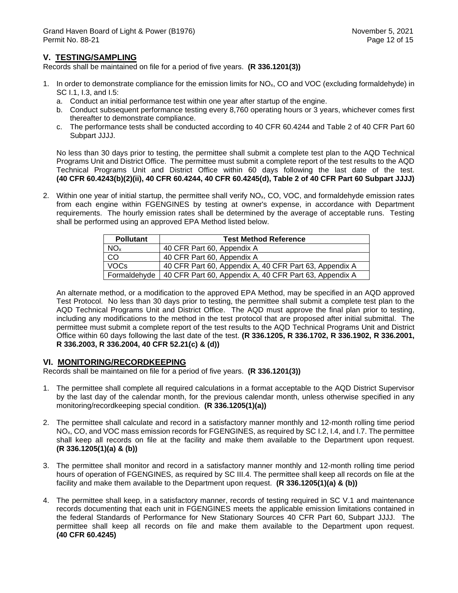## **V. TESTING/SAMPLING**

Records shall be maintained on file for a period of five years. **(R 336.1201(3))**

- 1. In order to demonstrate compliance for the emission limits for  $NO<sub>x</sub>$ , CO and VOC (excluding formaldehyde) in SC I.1, I.3, and I.5:
	- a. Conduct an initial performance test within one year after startup of the engine.
	- b. Conduct subsequent performance testing every 8,760 operating hours or 3 years, whichever comes first thereafter to demonstrate compliance.
	- c. The performance tests shall be conducted according to 40 CFR 60.4244 and Table 2 of 40 CFR Part 60 Subpart JJJJ.

No less than 30 days prior to testing, the permittee shall submit a complete test plan to the AQD Technical Programs Unit and District Office. The permittee must submit a complete report of the test results to the AQD Technical Programs Unit and District Office within 60 days following the last date of the test. **(40 CFR 60.4243(b)(2)(ii), 40 CFR 60.4244, 40 CFR 60.4245(d), Table 2 of 40 CFR Part 60 Subpart JJJJ)**

2. Within one year of initial startup, the permittee shall verify NOx, CO, VOC, and formaldehyde emission rates from each engine within FGENGINES by testing at owner's expense, in accordance with Department requirements. The hourly emission rates shall be determined by the average of acceptable runs. Testing shall be performed using an approved EPA Method listed below.

| <b>Pollutant</b> | <b>Test Method Reference</b>                           |  |  |
|------------------|--------------------------------------------------------|--|--|
| NO <sub>x</sub>  | 40 CFR Part 60, Appendix A                             |  |  |
| CO               | 40 CFR Part 60, Appendix A                             |  |  |
| <b>VOCs</b>      | 40 CFR Part 60, Appendix A, 40 CFR Part 63, Appendix A |  |  |
| Formaldehyde     | 40 CFR Part 60, Appendix A, 40 CFR Part 63, Appendix A |  |  |

An alternate method, or a modification to the approved EPA Method, may be specified in an AQD approved Test Protocol. No less than 30 days prior to testing, the permittee shall submit a complete test plan to the AQD Technical Programs Unit and District Office. The AQD must approve the final plan prior to testing, including any modifications to the method in the test protocol that are proposed after initial submittal. The permittee must submit a complete report of the test results to the AQD Technical Programs Unit and District Office within 60 days following the last date of the test. **(R 336.1205, R 336.1702, R 336.1902, R 336.2001, R 336.2003, R 336.2004, 40 CFR 52.21(c) & (d))**

#### **VI. MONITORING/RECORDKEEPING**

Records shall be maintained on file for a period of five years. **(R 336.1201(3))**

- 1. The permittee shall complete all required calculations in a format acceptable to the AQD District Supervisor by the last day of the calendar month, for the previous calendar month, unless otherwise specified in any monitoring/recordkeeping special condition. **(R 336.1205(1)(a))**
- 2. The permittee shall calculate and record in a satisfactory manner monthly and 12-month rolling time period NO<sub>x</sub>, CO, and VOC mass emission records for FGENGINES, as required by SC I.2, I.4, and I.7. The permittee shall keep all records on file at the facility and make them available to the Department upon request. **(R 336.1205(1)(a) & (b))**
- 3. The permittee shall monitor and record in a satisfactory manner monthly and 12-month rolling time period hours of operation of FGENGINES, as required by SC III.4. The permittee shall keep all records on file at the facility and make them available to the Department upon request. **(R 336.1205(1)(a) & (b))**
- 4. The permittee shall keep, in a satisfactory manner, records of testing required in SC V.1 and maintenance records documenting that each unit in FGENGINES meets the applicable emission limitations contained in the federal Standards of Performance for New Stationary Sources 40 CFR Part 60, Subpart JJJJ. The permittee shall keep all records on file and make them available to the Department upon request. **(40 CFR 60.4245)**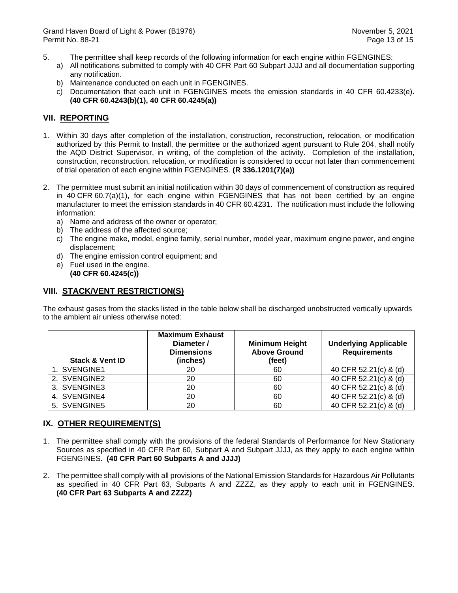- 5. The permittee shall keep records of the following information for each engine within FGENGINES:
	- a) All notifications submitted to comply with 40 CFR Part 60 Subpart JJJJ and all documentation supporting any notification.
	- b) Maintenance conducted on each unit in FGENGINES.
	- c) Documentation that each unit in FGENGINES meets the emission standards in 40 CFR 60.4233(e). **(40 CFR 60.4243(b)(1), 40 CFR 60.4245(a))**

## **VII. REPORTING**

- 1. Within 30 days after completion of the installation, construction, reconstruction, relocation, or modification authorized by this Permit to Install, the permittee or the authorized agent pursuant to Rule 204, shall notify the AQD District Supervisor, in writing, of the completion of the activity. Completion of the installation, construction, reconstruction, relocation, or modification is considered to occur not later than commencement of trial operation of each engine within FGENGINES. **(R 336.1201(7)(a))**
- 2. The permittee must submit an initial notification within 30 days of commencement of construction as required in 40 CFR 60.7(a)(1), for each engine within FGENGINES that has not been certified by an engine manufacturer to meet the emission standards in 40 CFR 60.4231. The notification must include the following information:
	- a) Name and address of the owner or operator;
	- b) The address of the affected source;
	- c) The engine make, model, engine family, serial number, model year, maximum engine power, and engine displacement;
	- d) The engine emission control equipment; and
	- e) Fuel used in the engine. **(40 CFR 60.4245(c))**

## **VIII. STACK/VENT RESTRICTION(S)**

The exhaust gases from the stacks listed in the table below shall be discharged unobstructed vertically upwards to the ambient air unless otherwise noted:

| <b>Stack &amp; Vent ID</b> | <b>Maximum Exhaust</b><br>Diameter /<br><b>Dimensions</b><br>(inches) | <b>Minimum Height</b><br><b>Above Ground</b><br>(feet) | <b>Underlying Applicable</b><br><b>Requirements</b> |
|----------------------------|-----------------------------------------------------------------------|--------------------------------------------------------|-----------------------------------------------------|
| 1. SVENGINE1               | 20                                                                    | 60                                                     | 40 CFR 52.21(c) & (d)                               |
| 2. SVENGINE2               | 20                                                                    | 60                                                     | 40 CFR 52.21(c) & (d)                               |
| 3. SVENGINE3               | 20                                                                    | 60                                                     | 40 CFR 52.21(c) & (d)                               |
| 4. SVENGINE4               | 20                                                                    | 60                                                     | 40 CFR 52.21(c) & (d)                               |
| 5. SVENGINE5               | 20                                                                    | 60                                                     | 40 CFR 52.21(c) & (d)                               |

# **IX. OTHER REQUIREMENT(S)**

- 1. The permittee shall comply with the provisions of the federal Standards of Performance for New Stationary Sources as specified in 40 CFR Part 60, Subpart A and Subpart JJJJ, as they apply to each engine within FGENGINES. **(40 CFR Part 60 Subparts A and JJJJ)**
- 2. The permittee shall comply with all provisions of the National Emission Standards for Hazardous Air Pollutants as specified in 40 CFR Part 63, Subparts A and ZZZZ, as they apply to each unit in FGENGINES. **(40 CFR Part 63 Subparts A and ZZZZ)**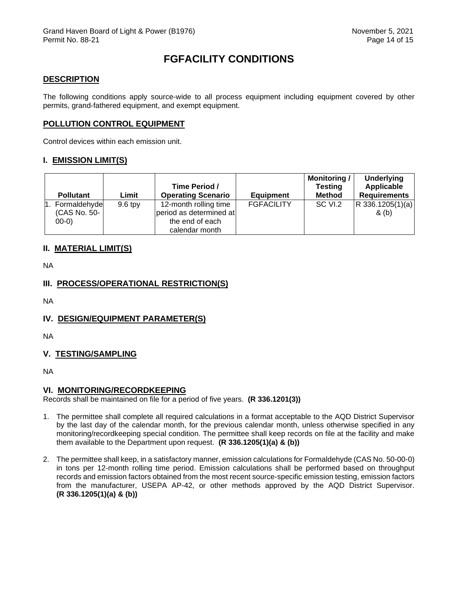# **FGFACILITY CONDITIONS**

#### <span id="page-14-0"></span>**DESCRIPTION**

The following conditions apply source-wide to all process equipment including equipment covered by other permits, grand-fathered equipment, and exempt equipment.

#### **POLLUTION CONTROL EQUIPMENT**

Control devices within each emission unit.

#### **I. EMISSION LIMIT(S)**

| <b>Pollutant</b>                            | Limit     | Time Period /<br><b>Operating Scenario</b>                                            | <b>Equipment</b>  | <b>Monitoring/</b><br><b>Testing</b><br><b>Method</b> | <b>Underlying</b><br>Applicable<br><b>Requirements</b> |
|---------------------------------------------|-----------|---------------------------------------------------------------------------------------|-------------------|-------------------------------------------------------|--------------------------------------------------------|
| 1. Formaldehyde<br>(CAS No. 50-<br>$(00-0)$ | $9.6$ tpy | 12-month rolling time<br>period as determined at<br>the end of each<br>calendar month | <b>FGFACILITY</b> | SC VI.2                                               | R 336.1205(1)(a)<br>& (b)                              |

## **II. MATERIAL LIMIT(S)**

NA

# **III. PROCESS/OPERATIONAL RESTRICTION(S)**

NA

# **IV. DESIGN/EQUIPMENT PARAMETER(S)**

NA

## **V. TESTING/SAMPLING**

NA

#### **VI. MONITORING/RECORDKEEPING**

Records shall be maintained on file for a period of five years. **(R 336.1201(3))**

- 1. The permittee shall complete all required calculations in a format acceptable to the AQD District Supervisor by the last day of the calendar month, for the previous calendar month, unless otherwise specified in any monitoring/recordkeeping special condition. The permittee shall keep records on file at the facility and make them available to the Department upon request. **(R 336.1205(1)(a) & (b))**
- 2. The permittee shall keep, in a satisfactory manner, emission calculations for Formaldehyde (CAS No. 50-00-0) in tons per 12-month rolling time period. Emission calculations shall be performed based on throughput records and emission factors obtained from the most recent source-specific emission testing, emission factors from the manufacturer, USEPA AP-42, or other methods approved by the AQD District Supervisor. **(R 336.1205(1)(a) & (b))**